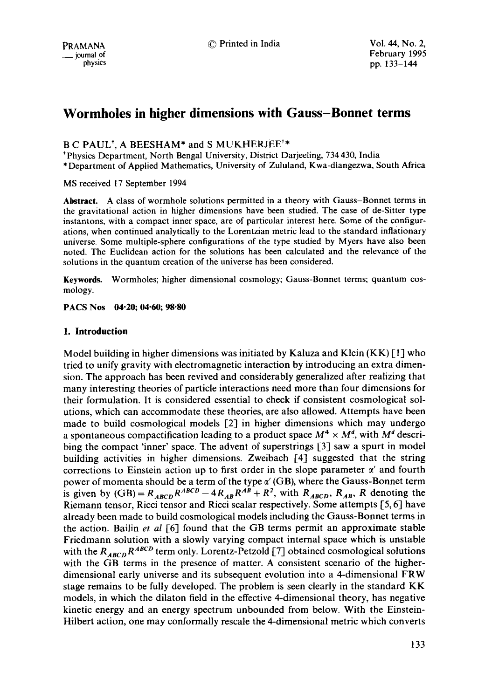# **Wormholes in higher dimensions with Gauss-Bonnet terms**

# B C PAUL\*, A BEESHAM\* and S MUKHERJEE\*\*

\* Physics Department, North Bengal University, District Darjeeling, 734 430, India \* Department of Applied Mathematics, University of Zululand, Kwa-dlangezwa, South Africa

MS received 17 September 1994

Abstract. A class of wormhole solutions permitted in a theory with Gauss-Bonnet terms in the gravitational action in higher dimensions have been studied. The case of de-Sitter type instantons, with a compact inner space, are of particular interest here. Some of the configurations, when continued analytically to the Lorentzian metric lead to the standard inflationary universe. Some multiple-sphere configurations of the type studied by Myers have also been noted. The Euclidean action for the solutions has been calculated and the relevance of the solutions in the quantum creation of the universe has been considered.

Keywords. Wormholes; higher dimensional cosmology; Gauss-Bonnet terms; quantum cosmology.

**PACS Nos 04-20; 04.60; 98.80** 

## **1. Introduction**

Model building in higher dimensions was initiated by Kaluza and Klein  $(KK)$  [1] who tried to unify gravity with electromagnetic interaction by introducing an extra dimension. The approach has been revived and considerably generalized after realizing that many interesting theories of particle interactions need more than four dimensions for their formulation. It is considered essential to check if consistent cosmological solutions, which can accommodate these theories, are also allowed. Attempts have been made to build cosmological models [2] in higher dimensions which may undergo a spontaneous compactification leading to a product space  $M^4 \times M^d$ , with  $M^d$  describing the compact 'inner' space. The advent of superstrings [3] saw a spurt in model building activities in higher dimensions. Zweibach [4] suggested that the string corrections to Einstein action up to first order in the slope parameter  $\alpha'$  and fourth power of momenta should be a term of the type  $\alpha'$  (GB), where the Gauss-Bonnet term is given by  $(GB) = R_{ABCD}R^{ABCD} - 4R_{AB}R^{AB} + R^2$ , with  $R_{ABCD}$ ,  $R_{AB}$ , R denoting the Riemann tensor, Ricci tensor and Ricci scalar respectively. Some attempts [5, 6] have already been made to build cosmological models including the Gauss-Bonnet terms in the action. Bailin *et al* [6] found that the GB terms permit an approximate stable Friedmann solution with a slowly varying compact internal space which is unstable with the  $R_{ABCD}R^{ABCD}$  term only. Lorentz-Petzold [7] obtained cosmological solutions with the GB terms in the presence of matter. A consistent scenario of the higherdimensional early universe and its subsequent evolution into a 4-dimensional FRW stage remains to be fully developed. The problem is seen clearly in the standard KK models, in which the dilaton field in the effective 4-dimensional theory, has negative kinetic energy and an energy spectrum unbounded from below. With the Einstein-Hilbert action, one may conformally rescale the 4-dimensional metric which converts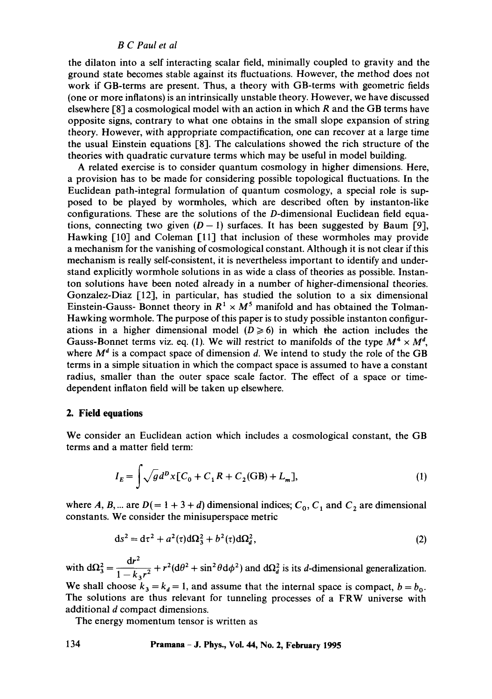the dilaton into a self interacting scalar field, minimally coupled to gravity and the ground state becomes stable against its fluctuations. However, the method does not work if GB-terms are present. Thus, a theory with GB-terms with geometric fields (one or more inflatons) is an intrinsically unstable theory. However, we have discussed elsewhere [8] a cosmological model with an action in which R and the GB terms have opposite signs, contrary to what one obtains in the small slope expansion of string theory. However, with appropriate compactification, one can recover at a large time the usual Einstein equations [8]. The calculations showed the rich structure of the theories with quadratic curvature terms which may be useful in model building.

A related exercise is to consider quantum cosmology in higher dimensions. Here, a provision has to be made for considering possible topological fluctuations. In the Euclidean path-integral formulation of quantum cosmology, a special role is supposed to be played by wormholes, which are described often by instanton-like configurations. These are the solutions of the D-dimensional Euclidean field equations, connecting two given  $(D - 1)$  surfaces. It has been suggested by Baum [9], Hawking [10] and Coleman [11] that inclusion of these wormholes may provide a mechanism for the vanishing of cosmological constant. Although it is not clear if this mechanism is really self-consistent, it is nevertheless important to identify and understand explicitly wormhole solutions in as wide a class of theories as possible. Instanton solutions have been noted already in a number of higher-dimensional theories. Gonzalez-Diaz [12], in particular, has studied the solution to a six dimensional Einstein-Gauss- Bonnet theory in  $R^1 \times M^5$  manifold and has obtained the Tolman-Hawking wormhole. The purpose of this paper is to study possible instanton configurations in a higher dimensional model  $(D \ge 6)$  in which the action includes the Gauss-Bonnet terms viz. eq. (1). We will restrict to manifolds of the type  $M^4 \times M^d$ , where  $M<sup>d</sup>$  is a compact space of dimension d. We intend to study the role of the GB terms in a simple situation in which the compact space is assumed to have a constant radius, smaller than the outer space scale factor. The effect of a space or timedependent inflaton field will be taken up elsewhere.

## **2. Field equations**

We consider an Euclidean action which includes a cosmological constant, the GB terms and a matter field term:

$$
I_E = \int \sqrt{g} d^D x [C_0 + C_1 R + C_2 (\text{GB}) + L_m], \tag{1}
$$

where A, B,... are  $D(=1+3+d)$  dimensional indices;  $C_0$ ,  $C_1$  and  $C_2$  are dimensional constants. We consider the minisuperspace metric

$$
ds^{2} = d\tau^{2} + a^{2}(\tau)d\Omega_{3}^{2} + b^{2}(\tau)d\Omega_{d}^{2},
$$
\n(2)

with  $d\Omega_3^2 = \frac{dr^2}{1 + r^2} + r^2(d\theta^2 + \sin^2\theta d\phi^2)$  and  $d\Omega_d^2$  is its *d*-dimensional generalization.

We shall choose  $k_3 = k_4 = 1$ , and assume that the internal space is compact,  $b = b_0$ . The solutions are thus relevant for tunneling processes of a FRW universe with additional d compact dimensions.

The energy momentum tensor is written as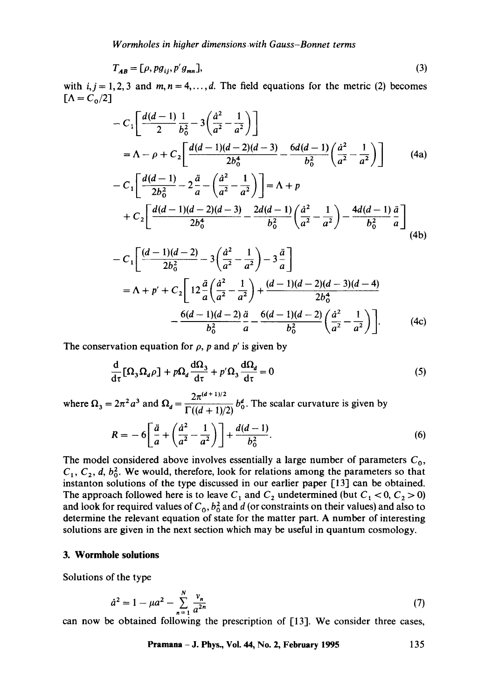$$
T_{AB} = [\rho, pg_{ij}, p'g_{mn}], \qquad (3)
$$

with  $i, j = 1, 2, 3$  and  $m, n = 4, \ldots, d$ . The field equations for the metric (2) becomes  $[\Lambda = C_0/2]$ 

$$
-C_{1}\left[\frac{d(d-1)}{2}\frac{1}{b_{0}^{2}}-3\left(\frac{\dot{a}^{2}}{a^{2}}-\frac{1}{a^{2}}\right)\right]
$$
  
=  $\Lambda - \rho + C_{2}\left[\frac{d(d-1)(d-2)(d-3)}{2b_{0}^{4}}-\frac{6d(d-1)}{b_{0}^{2}}\left(\frac{\dot{a}^{2}}{a^{2}}-\frac{1}{a^{2}}\right)\right]$  (4a)  

$$
-C_{1}\left[\frac{d(d-1)}{2b_{0}^{2}}-2\frac{\ddot{a}}{a}-\left(\frac{\dot{a}^{2}}{a^{2}}-\frac{1}{a^{2}}\right)\right]=\Lambda + p
$$

$$
+C_{2}\left[\frac{d(d-1)(d-2)(d-3)}{2b_{0}^{4}}-\frac{2d(d-1)}{b_{0}^{2}}\left(\frac{\dot{a}^{2}}{a^{2}}-\frac{1}{a^{2}}\right)-\frac{4d(d-1)}{b_{0}^{2}}\frac{\ddot{a}}{a}\right]
$$
(4b)

$$
-C_{1}\left[\frac{(d-1)(d-2)}{2b_{0}^{2}}-3\left(\frac{d^{2}}{a^{2}}-\frac{1}{a^{2}}\right)-3\frac{\ddot{a}}{a}\right]
$$
  
=  $\Lambda + p' + C_{2}\left[12\frac{\ddot{a}}{a}\left(\frac{\dot{a}^{2}}{a^{2}}-\frac{1}{a^{2}}\right)+\frac{(d-1)(d-2)(d-3)(d-4)}{2b_{0}^{4}} -\frac{6(d-1)(d-2)}{b_{0}^{2}}\frac{\ddot{a}}{a}-\frac{6(d-1)(d-2)}{b_{0}^{2}}\left(\frac{\dot{a}^{2}}{a^{2}}-\frac{1}{a^{2}}\right)\right].$  (4c)

The conservation equation for  $\rho$ , p and p' is given by

$$
\frac{d}{d\tau} [\Omega_3 \Omega_d \rho] + p \Omega_d \frac{d\Omega_3}{d\tau} + p' \Omega_3 \frac{d\Omega_d}{d\tau} = 0
$$
\n(5)

 $2\pi^{(d+1)/2}$ where  $\Omega_3 = 2\pi^2 a^3$  and  $\Omega_d = \frac{-a}{\Gamma((d + 1)/2)} b_0^d$ . The scalar curvature is given by

$$
R = -6\left[\frac{\ddot{a}}{a} + \left(\frac{\dot{a}^2}{a^2} - \frac{1}{a^2}\right)\right] + \frac{d(d-1)}{b_0^2}.
$$
 (6)

The model considered above involves essentially a large number of parameters  $C_0$ ,  $C_1, C_2, d, b_0^2$ . We would, therefore, look for relations among the parameters so that instanton solutions of the type discussed in our earlier paper [13] can be obtained. The approach followed here is to leave  $C_1$  and  $C_2$  undetermined (but  $C_1 < 0, C_2 > 0$ ) and look for required values of  $C_0$ ,  $b_0^2$  and d (or constraints on their values) and also to determine the relevant equation of state for the matter part. A number of interesting solutions are given in the next section which may be useful in quantum cosmology.

## **3. Wormhole solutions**

Solutions of the type

$$
\dot{a}^2 = 1 - \mu a^2 - \sum_{n=1}^{N} \frac{v_n}{a^{2n}} \tag{7}
$$

can now be obtained following the prescription of [13]. We consider three cases,

$$
Pramana - J. Phys., Vol. 44, No. 2, February 1995 135
$$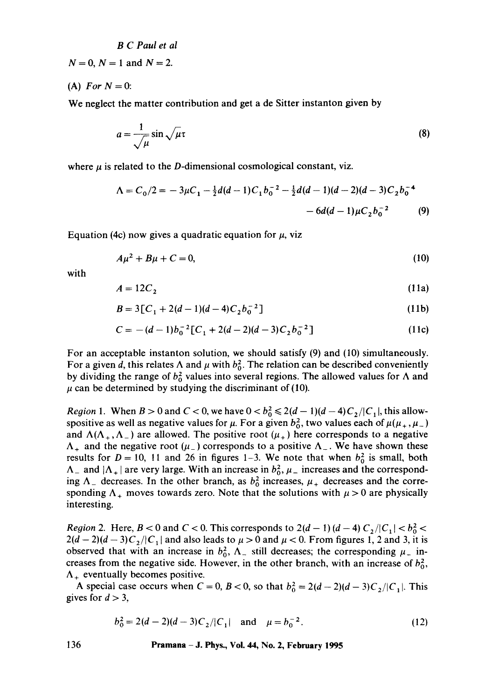$N=0$ ,  $N=1$  and  $N=2$ .

(A) *For*  $N = 0$ :

We neglect the matter contribution and get a de Sitter instanton given by

$$
a = \frac{1}{\sqrt{\mu}} \sin \sqrt{\mu} \tau
$$
 (8)

where  $\mu$  is related to the D-dimensional cosmological constant, viz.

$$
\Lambda = C_0/2 = -3\mu C_1 - \frac{1}{2}d(d-1)C_1b_0^{-2} - \frac{1}{2}d(d-1)(d-2)(d-3)C_2b_0^{-4} - 6d(d-1)\mu C_2b_0^{-2}
$$
 (9)

Equation (4c) now gives a quadratic equation for  $\mu$ , viz

$$
A\mu^2 + B\mu + C = 0,\tag{10}
$$

with

$$
A = 12C_2 \tag{11a}
$$

$$
B = 3[C_1 + 2(d-1)(d-4)C_2b_0^{-2}]
$$
 (11b)

$$
C = -(d-1)b_0^{-2}[C_1 + 2(d-2)(d-3)C_2b_0^{-2}]
$$
\n(11c)

For an acceptable instanton solution, we should satisfy (9) and (10) simultaneously. For a given d, this relates  $\Lambda$  and  $\mu$  with  $b_0^2$ . The relation can be described conveniently by dividing the range of  $b_0^2$  values into several regions. The allowed values for  $\Lambda$  and  $\mu$  can be determined by studying the discriminant of (10).

*Region 1.* When  $B > 0$  and  $C < 0$ , we have  $0 < b_0^2 \le 2(d-1)(d-4)C_2/|C_1|$ , this allowspositive as well as negative values for  $\mu$ . For a given  $b_0^2$ , two values each of  $\mu(\mu_+, \mu_-)$ and  $\Lambda(\Lambda_+,\Lambda_-)$  are allowed. The positive root  $(\mu_+)$  here corresponds to a negative  $\Lambda_+$  and the negative root ( $\mu_-$ ) corresponds to a positive  $\Lambda_-$ . We have shown these results for  $D = 10$ , 11 and 26 in figures 1-3. We note that when  $b_0^2$  is small, both  $\Lambda_-$  and  $|\Lambda_+|$  are very large. With an increase in  $b_0^2$ ,  $\mu_-$  increases and the corresponding  $\Lambda_-$  decreases. In the other branch, as  $b_0^2$  increases,  $\mu_+$  decreases and the corresponding  $\Lambda_{+}$  moves towards zero. Note that the solutions with  $\mu > 0$  are physically interesting.

*Region 2.* Here,  $B < 0$  and  $C < 0$ . This corresponds to  $2(d-1)(d-4)C_2/|C_1| < b_0^2 <$  $2(d-2)(d-3)C_2/|C_1|$  and also leads to  $\mu > 0$  and  $\mu < 0$ . From figures 1, 2 and 3, it is observed that with an increase in  $b_0^2$ ,  $\Lambda$  still decreases; the corresponding  $\mu$  increases from the negative side. However, in the other branch, with an increase of  $b_0^2$ ,  $\Lambda_{+}$  eventually becomes positive.

A special case occurs when  $C = 0$ ,  $B < 0$ , so that  $b_0^2 = 2(d-2)(d-3)C_2/|C_1|$ . This gives for  $d > 3$ ,

$$
b_0^2 = 2(d-2)(d-3)C_2/|C_1| \text{ and } \mu = b_0^{-2}.
$$
 (12)

**136 Pramana -J. Phys., Vol. 44, No. 2, February 1995**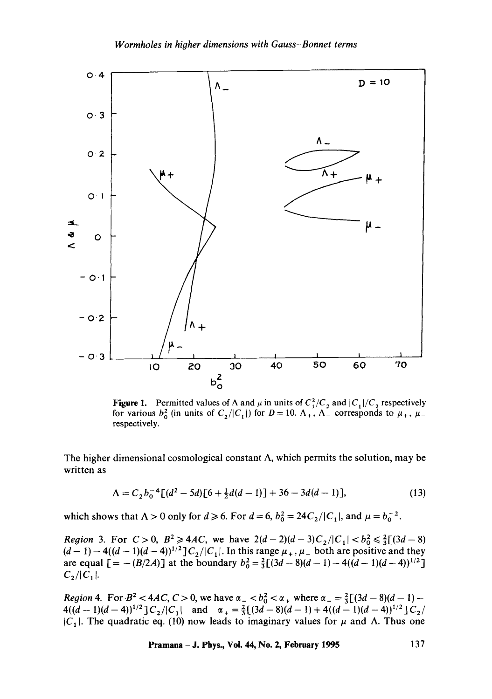

Figure 1. Permitted values of  $\Lambda$  and  $\mu$  in units of  $C_1^2/C_2$  and  $|C_1|/C_2$  respectively for various  $b_0^2$  (in units of  $C_2/|C_1|$ ) for  $D = 10$ .  $\Lambda_+$ ,  $\Lambda_-$  corresponds to  $\mu_+$ ,  $\mu_$ respectively.

The higher dimensional cosmological constant  $\Lambda$ , which permits the solution, may be written as

$$
\Lambda = C_2 b_0^{-4} \left[ (d^2 - 5d) \left[ 6 + \frac{1}{2} d(d - 1) \right] + 36 - 3d(d - 1) \right],\tag{13}
$$

which shows that  $\Lambda > 0$  only for  $d \ge 6$ . For  $d = 6$ ,  $b_0^2 = 24C_2/|C_1|$ , and  $\mu = b_0^{-2}$ .

*Region* 3. For  $C > 0$ ,  $B^2 \ge 4AC$ , we have  $2(d-2)(d-3)C_2/|C_1| < b_0^2 \le \frac{2}{3}[(3d-8)$  $(d-1) - 4((d-1)(d-4))^{1/2}$ ]C<sub>2</sub>/|C<sub>1</sub>. In this range  $\mu_+,\mu_-$  both are positive and they are equal  $[ = - (B/2A) ]$  at the boundary  $b_0^2 = \frac{2}{3}[(3d-8)(d-1) - 4((d-1)(d-4))^{1/2}]$  $C_2/|C_1|$ .

*Region 4.* For  $B^2 < 4AC$ ,  $C > 0$ , we have  $\alpha_- < b_0^2 < \alpha_+$  where  $\alpha_- = \frac{2}{3}[(3d - 8)(d - 1) 4((d-1)(d-4))^{1/2}$ ] $C_2/|C_1|$  and  $\alpha_+ = \frac{2}{3}[(3d-8)(d-1) + 4((d-1)(d-4))^{1/2}]C_2/$  $|C_1|$ . The quadratic eq. (10) now leads to imaginary values for  $\mu$  and  $\Lambda$ . Thus one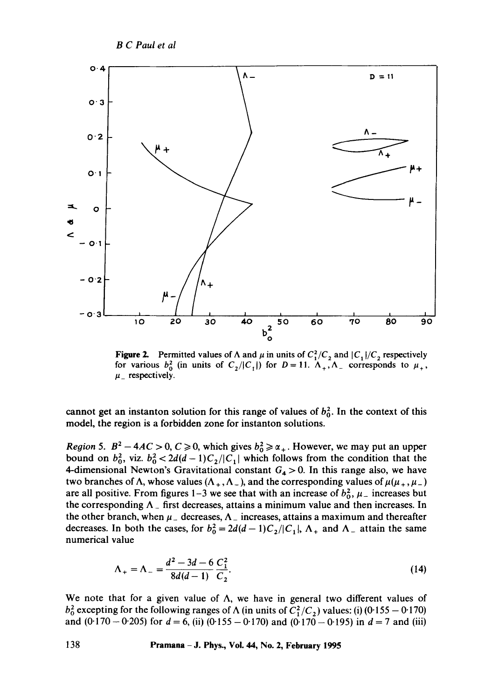

Figure 2. Permitted values of  $\Lambda$  and  $\mu$  in units of  $C_1^2/C_2$  and  $|C_1|/C_2$  respectively for various  $b_0^2$  (in units of  $C_2/|C_1|$ ) for  $D=11$ .  $\Lambda_+,\Lambda_-$  corresponds to  $\mu_+$ ,  $\mu$  respectively.

cannot get an instanton solution for this range of values of  $b_0^2$ . In the context of this model, the region is a forbidden zone for instanton solutions.

*Region 5.*  $B^2 - 4AC > 0$ ,  $C \ge 0$ , which gives  $b_0^2 \ge \alpha_+$ . However, we may put an upper bound on  $b_0^2$ , viz.  $b_0^2 < 2d(d-1)C_2/|C_1|$  which follows from the condition that the 4-dimensional Newton's Gravitational constant  $G_4 > 0$ . In this range also, we have two branches of  $\Lambda$ , whose values  $(\Lambda_+, \Lambda_-)$ , and the corresponding values of  $\mu(\mu_+, \mu_-)$ are all positive. From figures 1-3 we see that with an increase of  $b_0^2$ ,  $\mu_{-}$  increases but the corresponding  $\Lambda_{-}$  first decreases, attains a minimum value and then increases. In the other branch, when  $\mu_{-}$  decreases,  $\Lambda_{-}$  increases, attains a maximum and thereafter decreases. In both the cases, for  $b_0^2 = 2d(d-1)C_2/|C_1|$ ,  $\Lambda_+$  and  $\Lambda_-$  attain the same numerical value

$$
\Lambda_{+} = \Lambda_{-} = \frac{d^{2} - 3d - 6}{8d(d-1)} \frac{C_{1}^{2}}{C_{2}}.
$$
\n(14)

We note that for a given value of  $\Lambda$ , we have in general two different values of  $b_0^2$  excepting for the following ranges of  $\Lambda$  (in units of  $C_1^2/C_2$ ) values: (i) (0.155 – 0.170) and (0.170 - 0.205) for  $d = 6$ , (ii) (0.155 - 0.170) and (0.170 - 0.195) in  $d = 7$  and (iii)

**138 Pramana -J. Phys., Vol. 44, No. 2, February 1995**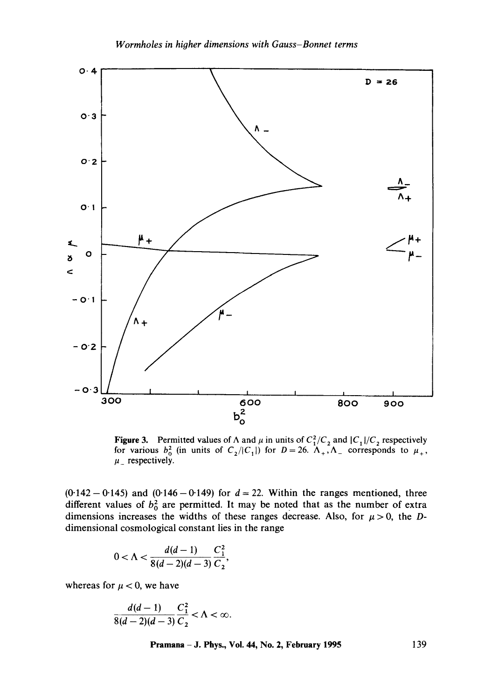

Figure 3. Permitted values of  $\Lambda$  and  $\mu$  in units of  $C_1^2/C_2$  and  $|C_1|/C_2$  respectively for various  $b_0^2$  (in units of  $C_2/|C_1|$ ) for  $D=26$ .  $\Lambda_+,\Lambda_-$  corresponds to  $\mu_+$ ,  $\mu$  respectively.

 $(0.142 - 0.145)$  and  $(0.146 - 0.149)$  for  $d = 22$ . Within the ranges mentioned, three different values of  $b_0^2$  are permitted. It may be noted that as the number of extra dimensions increases the widths of these ranges decrease. Also, for  $\mu > 0$ , the Ddimensional cosmological constant lies in the range

$$
0<\Lambda<\frac{d(d-1)}{8(d-2)(d-3)}\frac{C_1^2}{C_2},
$$

whereas for  $\mu < 0$ , we have

$$
\frac{d(d-1)}{8(d-2)(d-3)}\frac{C_1^2}{C_2} < \Lambda < \infty.
$$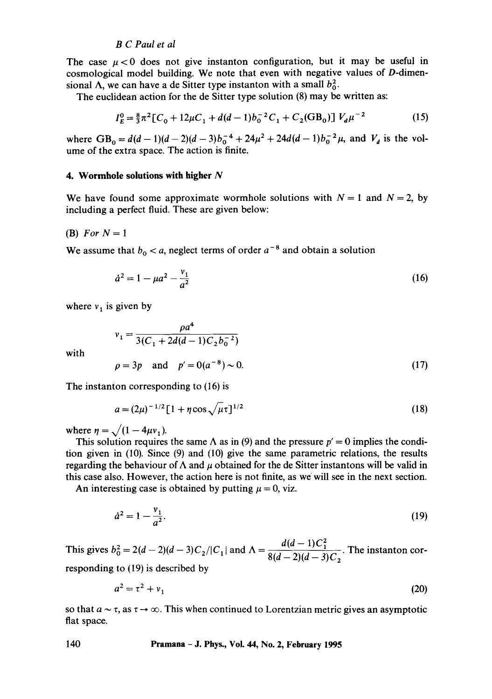The case  $\mu < 0$  does not give instanton configuration, but it may be useful in cosmological model building. We note that even with negative values of D-dimensional  $\Lambda$ , we can have a de Sitter type instanton with a small  $b_0^2$ .

The euclidean action for the de Sitter type solution (8) may be written as:

$$
I_E^0 = \frac{8}{3}\pi^2 [C_0 + 12\mu C_1 + d(d-1)b_0^{-2}C_1 + C_2(\text{GB}_0)]V_d\mu^{-2}
$$
 (15)

where  $GB_0 = d(d-1)(d-2)(d-3)b_0^{-4} + 24\mu^2 + 24d(d-1)b_0^{-2}\mu$ , and  $V_d$  is the volume of the extra space. The action is finite.

#### **4. Wormhole solutions with higher N**

We have found some approximate wormhole solutions with  $N = 1$  and  $N = 2$ , by including a perfect fluid. These are given below:

(B) *For*  $N = 1$ 

We assume that  $b_0 < a$ , neglect terms of order  $a^{-8}$  and obtain a solution

$$
\dot{a}^2 = 1 - \mu a^2 - \frac{v_1}{a^2} \tag{16}
$$

where  $v_1$  is given by

with

$$
v_1 = \frac{\rho a^4}{3(C_1 + 2d(d-1)C_2 b_0^{-2})}
$$
  

$$
\rho = 3p \text{ and } p' = 0(a^{-8}) \sim 0.
$$
 (17)

The instanton corresponding to (16) is

$$
a = (2\mu)^{-1/2} \left[ 1 + \eta \cos \sqrt{\mu} \tau \right]^{1/2} \tag{18}
$$

where  $\eta = \sqrt{(1 - 4\mu v_1)}$ .

This solution requires the same  $\Lambda$  as in (9) and the pressure  $p' = 0$  implies the condition given in (10). Since (9) and (10) give the same parametric relations, the results regarding the behaviour of  $\Lambda$  and  $\mu$  obtained for the de Sitter instantons will be valid in this case also. However, the action here is not finite, as we will see in the next section.

An interesting case is obtained by putting  $\mu = 0$ , viz.

$$
\dot{a}^2 = 1 - \frac{v_1}{a^2}.\tag{19}
$$

This gives  $b_0^2 = 2(d-2)(d-3)C_2/|C_1|$  and  $\Lambda = \frac{d(d-1)C_1}{2(d-2)(d-3)}$ . The instanton cor- $8(d-2)(d-3)C_2$ 

responding to (19) is described by

$$
a^2 = \tau^2 + v_1 \tag{20}
$$

so that  $a \sim \tau$ , as  $\tau \to \infty$ . This when continued to Lorentzian metric gives an asymptotic flat space.

**140 Pramana - J. Phys., Vol. 44, No. 2, February 1995**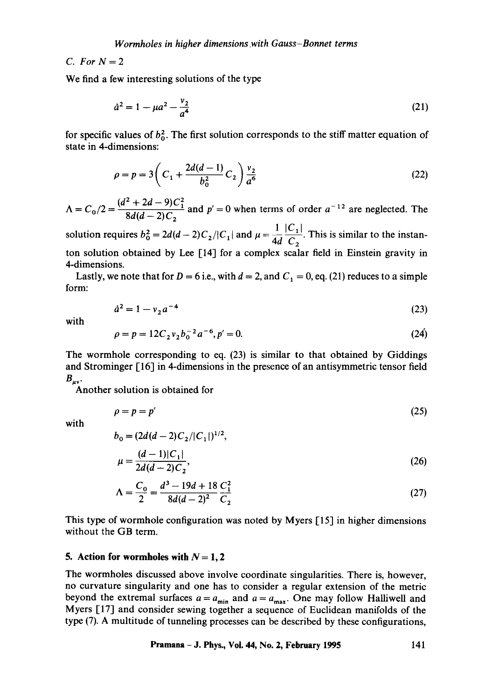# *C.* For  $N=2$

We find a few interesting solutions of the type

$$
\dot{a}^2 = 1 - \mu a^2 - \frac{v_2}{a^4} \tag{21}
$$

for specific values of  $b_0^2$ . The first solution corresponds to the stiff matter equation of state in 4-dimensions:

$$
\rho = p = 3\left(C_1 + \frac{2d(d-1)}{b_0^2}C_2\right)\frac{v_2}{a^6}
$$
\n(22)

*A = Co/2 = (dz + 2d -* 9)C 2 and *p'* = 0 when terms of order a-12 are neglected. The  $8d(d - 2)C_2$ 

solution requires  $b_0^2 = 2d(d-2)C_2/|C_1|$  and  $\mu = \frac{1}{4d} \frac{|C_1|}{C}$ . This is similar to the instanton solution obtained by Lee [14] for a complex scalar field in Einstein gravity in 4-dimensions.

Lastly, we note that for  $D = 6$  i.e., with  $d = 2$ , and  $C_1 = 0$ , eq. (21) reduces to a simple form:

$$
\dot{a}^2 = 1 - v_2 a^{-4} \tag{23}
$$

with

$$
\rho = p = 12C_2 v_2 b_0^{-2} a^{-6}, p' = 0.
$$
\n(24)

The wormhole corresponding to eq. (23) is similar to that obtained by Giddings and Strominger  $[16]$  in 4-dimensions in the presence of an antisymmetric tensor field  $B_{\mu\nu}$ .

Another solution is obtained for

$$
\rho = p = p' \tag{25}
$$

with

$$
b_0 = (2d(d-2)C_2/|C_1|)^{1/2},
$$
  
\n
$$
\mu = \frac{(d-1)|C_1|}{2d(d-2)C_2},
$$
\n(26)

$$
\Lambda = \frac{C_0}{2} = \frac{d^3 - 19d + 18}{8d(d-2)^2} \frac{C_1^2}{C_2}
$$
\n(27)

This type of wormhole configuration was noted by Myers [15] in higher dimensions without the GB term.

## **5.** Action for wormholes with  $N = 1, 2$

The wormholes discussed above involve coordinate singularities. There is, however, no curvature singularity and one has to consider a regular extension of the metric beyond the extremal surfaces  $a = a_{min}$  and  $a = a_{max}$ . One may follow Halliwell and Myers [17] and consider sewing together a sequence of Euclidean manifolds of the type (7). A multitude of tunneling processes can be described by these configurations,

**Pramana - J. Phys., Voi. 44, No. 2, February 1995 141**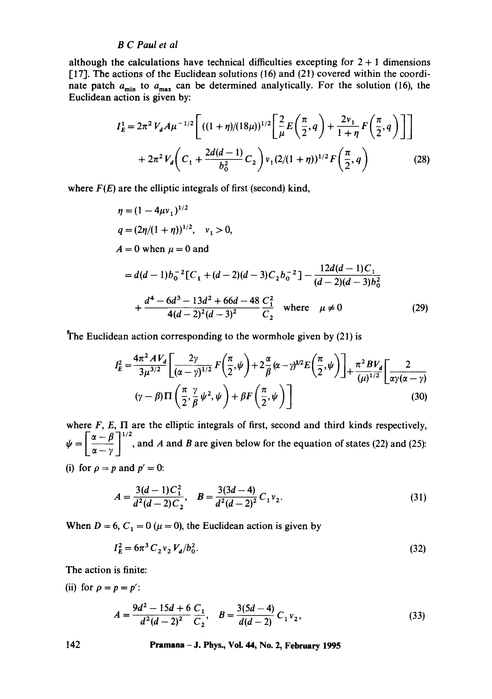although the calculations have technical difficulties excepting for  $2 + 1$  dimensions [17]. The actions of the Euclidean solutions (16) and (21) covered within the coordinate patch  $a_{\text{min}}$  to  $a_{\text{max}}$  can be determined analytically. For the solution (16), the Euclidean action is given by:

$$
I_E^1 = 2\pi^2 V_d A \mu^{-1/2} \left[ ((1+\eta)/(18\mu))^{1/2} \left[ \frac{2}{\mu} E\left(\frac{\pi}{2}, q\right) + \frac{2v_1}{1+\eta} F\left(\frac{\pi}{2}, q\right) \right] \right] + 2\pi^2 V_d \left( C_1 + \frac{2d(d-1)}{b_0^2} C_2 \right) v_1 (2/(1+\eta))^{1/2} F\left(\frac{\pi}{2}, q\right) \tag{28}
$$

where  $F(E)$  are the elliptic integrals of first (second) kind,

$$
\eta = (1 - 4\mu v_1)^{1/2}
$$
  
\n
$$
q = (2\eta/(1 + \eta))^{1/2}, \quad v_1 > 0,
$$
  
\n
$$
A = 0 \text{ when } \mu = 0 \text{ and}
$$
  
\n
$$
= d(d - 1)b_0^{-2}[C_1 + (d - 2)(d - 3)C_2b_0^{-2}] - \frac{12d(d - 1)C_1}{(d - 2)(d - 3)b_0^2}
$$
  
\n
$$
+ \frac{d^4 - 6d^3 - 13d^2 + 66d - 48}{4(d - 2)^2(d - 3)^2} \frac{C_2^2}{C_2} \text{ where } \mu \neq 0
$$
 (29)

The Euclidean action corresponding to the wormhole given by (21) is

$$
I_E^2 = \frac{4\pi^2 A V_d}{3\mu^{3/2}} \left[ \frac{2\gamma}{(\alpha - \gamma)^{1/2}} F\left(\frac{\pi}{2}, \psi\right) + 2\frac{\alpha}{\beta} (\alpha - \gamma)^{1/2} E\left(\frac{\pi}{2}, \psi\right) \right] + \frac{\pi^2 B V_d}{(\mu)^{1/2}} \left[ \frac{2}{\alpha \gamma (\alpha - \gamma)} \left( \gamma - \beta \right) \Pi \left( \frac{\pi}{2}, \frac{\gamma}{\beta} \psi^2, \psi \right) + \beta F\left(\frac{\pi}{2}, \psi\right) \right] \tag{30}
$$

where  $F$ ,  $E$ ,  $\Pi$  are the elliptic integrals of first, second and third kinds respectively,  $\psi = \left[\frac{\alpha-\beta}{\alpha-\gamma}\right]^{1/2}$ , and A and B are given below for the equation of states (22) and (25): (i) for  $\rho = p$  and  $p' = 0$ :

$$
A = \frac{3(d-1)C_1^2}{d^2(d-2)C_2}, \quad B = \frac{3(3d-4)}{d^2(d-2)^2}C_1\nu_2.
$$
 (31)

When  $D = 6$ ,  $C_1 = 0$  ( $\mu = 0$ ), the Euclidean action is given by

$$
I_E^2 = 6\pi^3 C_2 v_2 V_d / b_0^2. \tag{32}
$$

The action is finite:

(ii) for  $\rho = p = p'$ :

$$
A = \frac{9d^2 - 15d + 6C_1}{d^2(d-2)^2 C_2}, \quad B = \frac{3(5d-4)}{d(d-2)} C_1 \nu_2,
$$
 (33)

**142 Pramana -J. Phys., Vol. 44, No. 2, February 1995**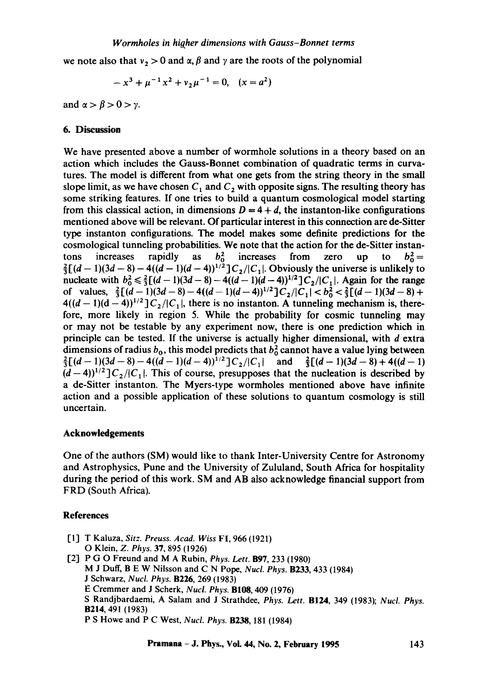## *Wormholes in higher dimensions with Gauss-Bonnet terms*

we note also that  $v_2 > 0$  and  $\alpha$ ,  $\beta$  and  $\gamma$  are the roots of the polynomial

$$
-x^3 + \mu^{-1}x^2 + v_2\mu^{-1} = 0, \quad (x = a^2)
$$

and  $\alpha > \beta > 0 > \gamma$ .

## **6. Discussion**

We have presented above a number of wormhole solutions in a theory based on an action which includes the Gauss-Bonnet combination of quadratic terms in curvatures. The model is different from what one gets from the string theory in the small slope limit, as we have chosen  $C_1$  and  $C_2$  with opposite signs. The resulting theory has some striking features. If one tries to build a quantum cosmological model starting from this classical action, in dimensions  $D = 4 + d$ , the instanton-like configurations mentioned above will be relevant. Of particular interest in this connection are de-Sitter type instanton configurations. The model makes some definite predictions for the cosmological tunneling probabilities. We note that the action for the de-Sitter instantons increases rapidly as  $b_0^2$  increases from zero up to  $b_0^2$  =  $\frac{2}{3}[(d-1)(3d-8)-4((d-1)(d-4))^{1/2}]C_2/|C_1|$ . Obviously the universe is unlikely to nucleate with  $b_0^2 \leq \frac{2}{3}((d-1)(3d-8) - 4((d-1)(d-4))^{1/2}]C_2/|C_1|$ . Again for the range of values,  $\frac{2}{3} [(d-1)(3d-8) - 4((d-1)(d-4))^{1/2}] C_2/|C_1| < b_0^2 < \frac{2}{3} [(d-1)(3d-8) +$  $4((d-1)(d-4))^{1/2}$   $C_2/|C_1|$ , there is no instanton. A tunneling mechanism is, therefore, more likely in region 5. While the probability for cosmic tunneling may or may not be testable by any experiment now, there is one prediction which in principle can be tested. If the universe is actually higher dimensional, with  $d$  extra dimensions of radius  $b_0$ , this model predicts that  $b_0^2$  cannot have a value lying between  $\frac{2}{3}[(d-1)(3d-8)-4((d-1)(d-4))^{1/2}]C_2/|C_1|$  and  $\frac{2}{3}[(d-1)(3d-8)+4((d-1))$  $(d-4)$ <sup>1/2</sup>] $C_2$ / $|C_1|$ . This of course, presupposes that the nucleation is described by a de-Sitter instanton. The Myers-type wormholes mentioned above have infinite action and a possible application of these solutions to quantum cosmology is still uncertain.

#### **Acknowledgements**

One of the authors (SM) would like to thank Inter-University Centre for Astronomy and Astrophysics, Pune and the University of Zululand, South Africa for hospitality during the period of this work. SM and AB also acknowledge financial support from FRD (South Africa).

## **References**

[1] T Kaluza, *Sitz. Preuss. Acad. Wiss* FI, 966 (1921) [2] P G O Freund and M A Rubin, *Phys. Lett.* B97, 233 (1980) O Klein, *Z. Phys.* 37, 895 (1926) M J Duff, B E W Niisson and C N Pope, *Nucl. Phys.* B233, 433 (1984) J Schwarz, *Nucl. Phys.* B226, 269 (1983) E Cremmer and J Scherk, *Nucl. Phys.* BI08, 409 (1976) S Randjbardaemi, A Salam and J Strathdee, *Phys. Lett.* B124, 349 (1983); *Nucl. Phys.*  B214, 491 (1983) P S Howe and P C West, *Nucl. Phys.* B238, 181 (1984)